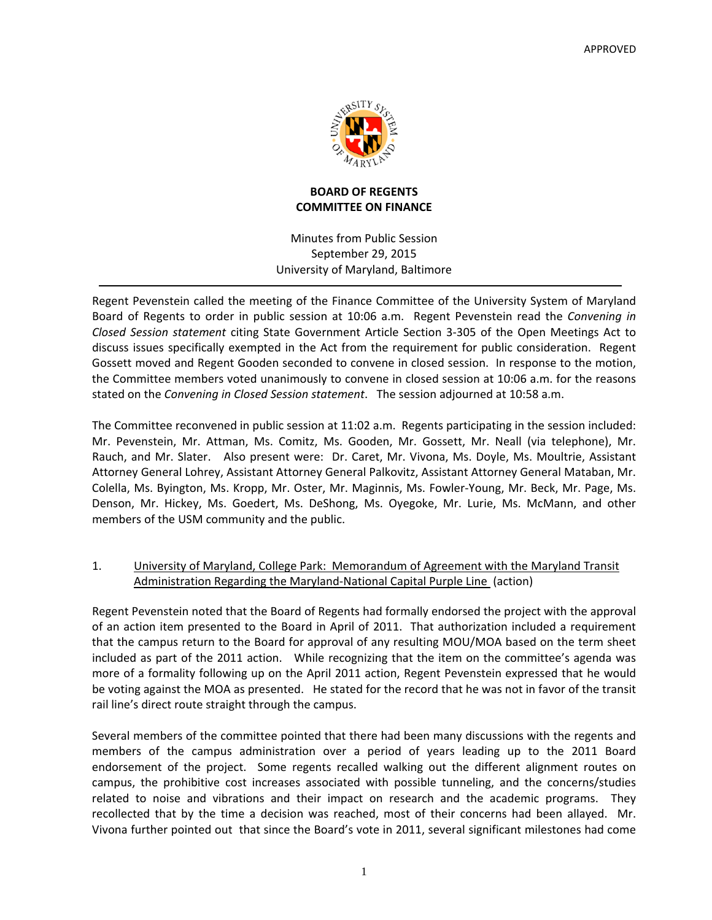

### **BOARD OF REGENTS COMMITTEE ON FINANCE**

Minutes from Public Session September 29, 2015 University of Maryland, Baltimore

Regent Pevenstein called the meeting of the Finance Committee of the University System of Maryland Board of Regents to order in public session at 10:06 a.m. Regent Pevenstein read the *Convening in Closed Session statement* citing State Government Article Section 3‐305 of the Open Meetings Act to discuss issues specifically exempted in the Act from the requirement for public consideration. Regent Gossett moved and Regent Gooden seconded to convene in closed session. In response to the motion, the Committee members voted unanimously to convene in closed session at 10:06 a.m. for the reasons stated on the *Convening in Closed Session statement*. The session adjourned at 10:58 a.m.

The Committee reconvened in public session at 11:02 a.m. Regents participating in the session included: Mr. Pevenstein, Mr. Attman, Ms. Comitz, Ms. Gooden, Mr. Gossett, Mr. Neall (via telephone), Mr. Rauch, and Mr. Slater. Also present were: Dr. Caret, Mr. Vivona, Ms. Doyle, Ms. Moultrie, Assistant Attorney General Lohrey, Assistant Attorney General Palkovitz, Assistant Attorney General Mataban, Mr. Colella, Ms. Byington, Ms. Kropp, Mr. Oster, Mr. Maginnis, Ms. Fowler‐Young, Mr. Beck, Mr. Page, Ms. Denson, Mr. Hickey, Ms. Goedert, Ms. DeShong, Ms. Oyegoke, Mr. Lurie, Ms. McMann, and other members of the USM community and the public.

# 1. University of Maryland, College Park: Memorandum of Agreement with the Maryland Transit Administration Regarding the Maryland‐National Capital Purple Line (action)

Regent Pevenstein noted that the Board of Regents had formally endorsed the project with the approval of an action item presented to the Board in April of 2011. That authorization included a requirement that the campus return to the Board for approval of any resulting MOU/MOA based on the term sheet included as part of the 2011 action. While recognizing that the item on the committee's agenda was more of a formality following up on the April 2011 action, Regent Pevenstein expressed that he would be voting against the MOA as presented. He stated for the record that he was not in favor of the transit rail line's direct route straight through the campus.

Several members of the committee pointed that there had been many discussions with the regents and members of the campus administration over a period of years leading up to the 2011 Board endorsement of the project. Some regents recalled walking out the different alignment routes on campus, the prohibitive cost increases associated with possible tunneling, and the concerns/studies related to noise and vibrations and their impact on research and the academic programs. They recollected that by the time a decision was reached, most of their concerns had been allayed. Mr. Vivona further pointed out that since the Board's vote in 2011, several significant milestones had come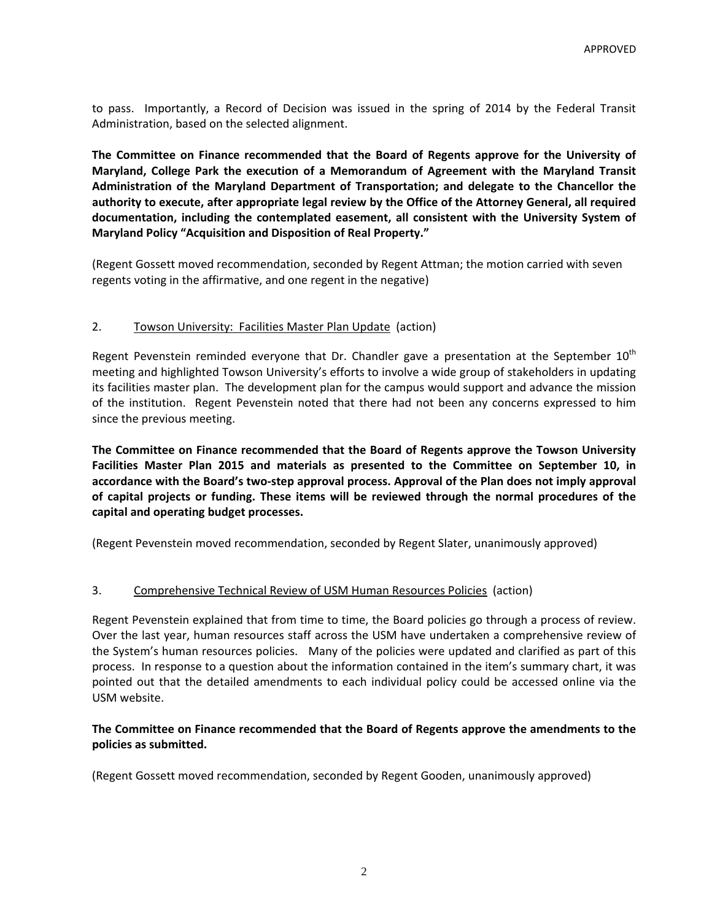to pass. Importantly, a Record of Decision was issued in the spring of 2014 by the Federal Transit Administration, based on the selected alignment.

**The Committee on Finance recommended that the Board of Regents approve for the University of Maryland, College Park the execution of a Memorandum of Agreement with the Maryland Transit Administration of the Maryland Department of Transportation; and delegate to the Chancellor the authority to execute, after appropriate legal review by the Office of the Attorney General, all required documentation, including the contemplated easement, all consistent with the University System of Maryland Policy "Acquisition and Disposition of Real Property."** 

(Regent Gossett moved recommendation, seconded by Regent Attman; the motion carried with seven regents voting in the affirmative, and one regent in the negative)

### 2. Towson University: Facilities Master Plan Update (action)

Regent Pevenstein reminded everyone that Dr. Chandler gave a presentation at the September 10<sup>th</sup> meeting and highlighted Towson University's efforts to involve a wide group of stakeholders in updating its facilities master plan. The development plan for the campus would support and advance the mission of the institution. Regent Pevenstein noted that there had not been any concerns expressed to him since the previous meeting.

**The Committee on Finance recommended that the Board of Regents approve the Towson University Facilities Master Plan 2015 and materials as presented to the Committee on September 10, in accordance with the Board's two‐step approval process. Approval of the Plan does not imply approval of capital projects or funding. These items will be reviewed through the normal procedures of the capital and operating budget processes.**

(Regent Pevenstein moved recommendation, seconded by Regent Slater, unanimously approved)

# 3. Comprehensive Technical Review of USM Human Resources Policies (action)

Regent Pevenstein explained that from time to time, the Board policies go through a process of review. Over the last year, human resources staff across the USM have undertaken a comprehensive review of the System's human resources policies. Many of the policies were updated and clarified as part of this process. In response to a question about the information contained in the item's summary chart, it was pointed out that the detailed amendments to each individual policy could be accessed online via the USM website.

#### **The Committee on Finance recommended that the Board of Regents approve the amendments to the policies as submitted.**

(Regent Gossett moved recommendation, seconded by Regent Gooden, unanimously approved)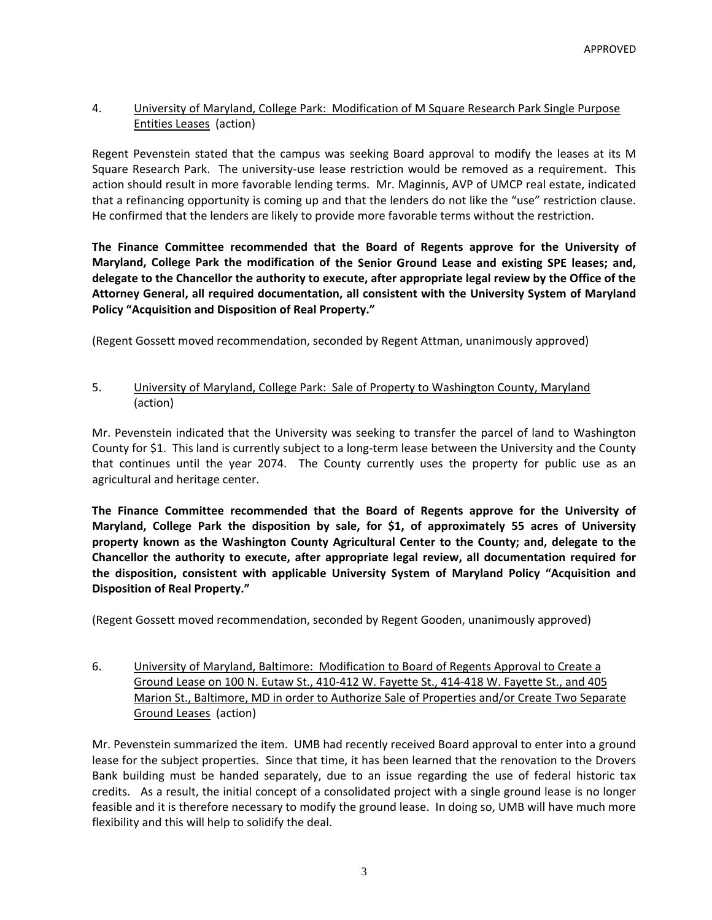# 4. University of Maryland, College Park: Modification of M Square Research Park Single Purpose Entities Leases (action)

Regent Pevenstein stated that the campus was seeking Board approval to modify the leases at its M Square Research Park. The university‐use lease restriction would be removed as a requirement. This action should result in more favorable lending terms. Mr. Maginnis, AVP of UMCP real estate, indicated that a refinancing opportunity is coming up and that the lenders do not like the "use" restriction clause. He confirmed that the lenders are likely to provide more favorable terms without the restriction.

**The Finance Committee recommended that the Board of Regents approve for the University of Maryland, College Park the modification of the Senior Ground Lease and existing SPE leases; and, delegate to the Chancellor the authority to execute, after appropriate legal review by the Office of the Attorney General, all required documentation, all consistent with the University System of Maryland Policy "Acquisition and Disposition of Real Property."** 

(Regent Gossett moved recommendation, seconded by Regent Attman, unanimously approved)

#### 5. University of Maryland, College Park: Sale of Property to Washington County, Maryland (action)

Mr. Pevenstein indicated that the University was seeking to transfer the parcel of land to Washington County for \$1. This land is currently subject to a long‐term lease between the University and the County that continues until the year 2074. The County currently uses the property for public use as an agricultural and heritage center.

**The Finance Committee recommended that the Board of Regents approve for the University of Maryland, College Park the disposition by sale, for \$1, of approximately 55 acres of University property known as the Washington County Agricultural Center to the County; and, delegate to the Chancellor the authority to execute, after appropriate legal review, all documentation required for the disposition, consistent with applicable University System of Maryland Policy "Acquisition and Disposition of Real Property."** 

(Regent Gossett moved recommendation, seconded by Regent Gooden, unanimously approved)

6. University of Maryland, Baltimore: Modification to Board of Regents Approval to Create a Ground Lease on 100 N. Eutaw St., 410-412 W. Fayette St., 414-418 W. Fayette St., and 405 Marion St., Baltimore, MD in order to Authorize Sale of Properties and/or Create Two Separate Ground Leases (action)

Mr. Pevenstein summarized the item. UMB had recently received Board approval to enter into a ground lease for the subject properties. Since that time, it has been learned that the renovation to the Drovers Bank building must be handed separately, due to an issue regarding the use of federal historic tax credits. As a result, the initial concept of a consolidated project with a single ground lease is no longer feasible and it is therefore necessary to modify the ground lease. In doing so, UMB will have much more flexibility and this will help to solidify the deal.